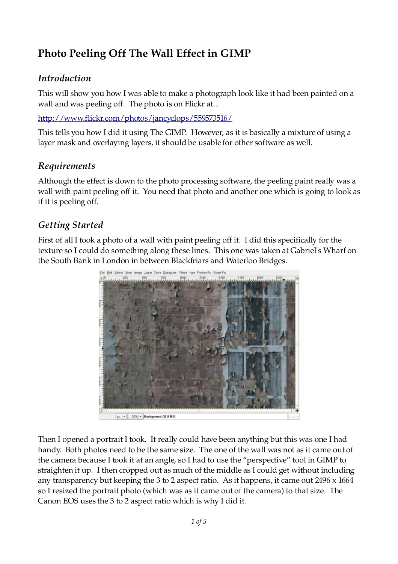# **Photo Peeling Off The Wall Effect in GIMP**

#### *Introduction*

This will show you how I was able to make a photograph look like it had been painted on a wall and was peeling off. The photo is on Flickr at...

<http://www.flickr.com/photos/jancyclops/559573516/>

This tells you how I did it using The GIMP. However, as it is basically a mixture of using a layer mask and overlaying layers, it should be usable for other software as well.

#### *Requirements*

Although the effect is down to the photo processing software, the peeling paint really was a wall with paint peeling off it. You need that photo and another one which is going to look as if it is peeling off.

#### *Getting Started*

First of all I took a photo of a wall with paint peeling off it. I did this specifically for the texture so I could do something along these lines. This one was taken at Gabriel's Wharf on the South Bank in London in between Blackfriars and Waterloo Bridges.



Then I opened a portrait I took. It really could have been anything but this was one I had handy. Both photos need to be the same size. The one of the wall was not as it came out of the camera because I took it at an angle, so I had to use the "perspective" tool in GIMP to straighten it up. I then cropped out as much of the middle as I could get without including any transparency but keeping the 3 to 2 aspect ratio. As it happens, it came out 2496 x 1664 so I resized the portrait photo (which was as it came out of the camera) to that size. The Canon EOS uses the 3 to 2 aspect ratio which is why I did it.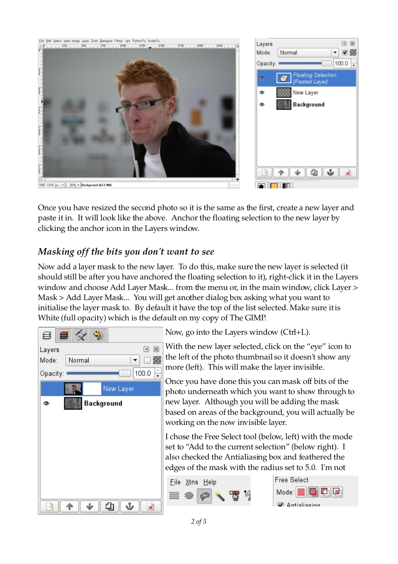

Once you have resized the second photo so it is the same as the first, create a new layer and paste it in. It will look like the above. Anchor the floating selection to the new layer by clicking the anchor icon in the Layers window.

# *Masking off the bits you don't want to see*

Now add a layer mask to the new layer. To do this, make sure the new layer is selected (it should still be after you have anchored the floating selection to it), right-click it in the Layers window and choose Add Layer Mask... from the menu or, in the main window, click Layer > Mask > Add Layer Mask... You will get another dialog box asking what you want to initialise the layer mask to. By default it have the top of the list selected. Make sure it is White (full opacity) which is the default on my copy of The GIMP.

| 8 B I    |        |            |        |
|----------|--------|------------|--------|
| Layers   |        |            | ⊠<br>同 |
| Mode:    | Normal |            |        |
| Opacity: |        | <b>BBB</b> | 100.0  |
|          |        | New Layer  |        |
| ◉        |        | Background |        |
|          |        |            |        |
|          |        |            |        |
|          |        |            |        |
|          |        |            |        |
|          |        |            |        |
|          |        |            |        |
|          |        |            |        |
|          |        |            |        |

Now, go into the Layers window (Ctrl+L).

With the new layer selected, click on the "eye" icon to the left of the photo thumbnail so it doesn't show any more (left). This will make the layer invisible.

Once you have done this you can mask off bits of the photo underneath which you want to show through to new layer. Although you will be adding the mask based on areas of the background, you will actually be working on the now invisible layer.

I chose the Free Select tool (below, left) with the mode set to "Add to the current selection" (below right). I also checked the Antialiasing box and feathered the edges of the mask with the radius set to 5.0. I'm not



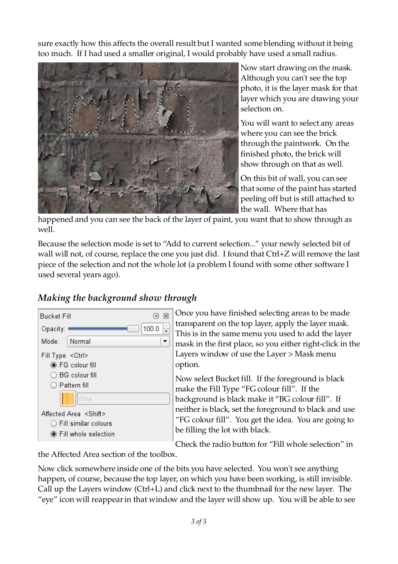sure exactly how this affects the overall result but I wanted some blending without it being too much. If I had used a smaller original, I would probably have used a small radius.



Now start drawing on the mask. Although you can't see the top photo, it is the layer mask for that layer which you are drawing your selection on.

You will want to select any areas where you can see the brick through the paintwork. On the finished photo, the brick will show through on that as well.

On this bit of wall, you can see that some of the paint has started peeling off but is still attached to the wall. Where that has

happened and you can see the back of the layer of paint, you want that to show through as well.

Because the selection mode is set to "Add to current selection..." your newly selected bit of wall will not, of course, replace the one you just did. I found that Ctrl+Z will remove the last piece of the selection and not the whole lot (a problem I found with some other software I used several years ago).

## *Making the background show through*



Once you have finished selecting areas to be made transparent on the top layer, apply the layer mask. This is in the same menu you used to add the layer mask in the first place, so you either right-click in the Layers window of use the Layer > Mask menu option.

Now select Bucket fill. If the foreground is black make the Fill Type "FG colour fill". If the background is black make it "BG colour fill". If neither is black, set the foreground to black and use "FG colour fill". You get the idea. You are going to be filling the lot with black.

Check the radio button for "Fill whole selection" in

the Affected Area section of the toolbox.

Now click somewhere inside one of the bits you have selected. You won't see anything happen, of course, because the top layer, on which you have been working, is still invisible. Call up the Layers window (Ctrl+L) and click next to the thumbnail for the new layer. The "eye" icon will reappear in that window and the layer will show up. You will be able to see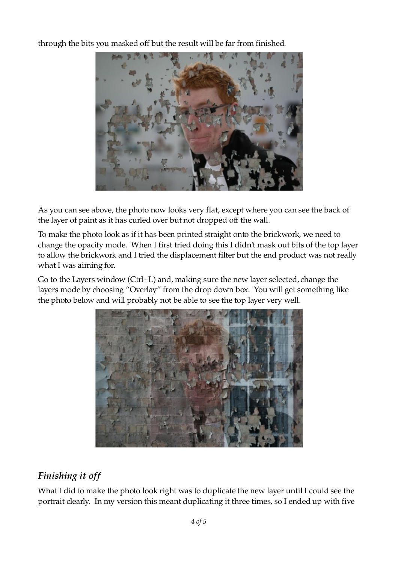through the bits you masked off but the result will be far from finished.



As you can see above, the photo now looks very flat, except where you can see the back of the layer of paint as it has curled over but not dropped off the wall.

To make the photo look as if it has been printed straight onto the brickwork, we need to change the opacity mode. When I first tried doing this I didn't mask out bits of the top layer to allow the brickwork and I tried the displacement filter but the end product was not really what I was aiming for.

Go to the Layers window (Ctrl+L) and, making sure the new layer selected, change the layers mode by choosing "Overlay" from the drop down box. You will get something like the photo below and will probably not be able to see the top layer very well.



## *Finishing it off*

What I did to make the photo look right was to duplicate the new layer until I could see the portrait clearly. In my version this meant duplicating it three times, so I ended up with five